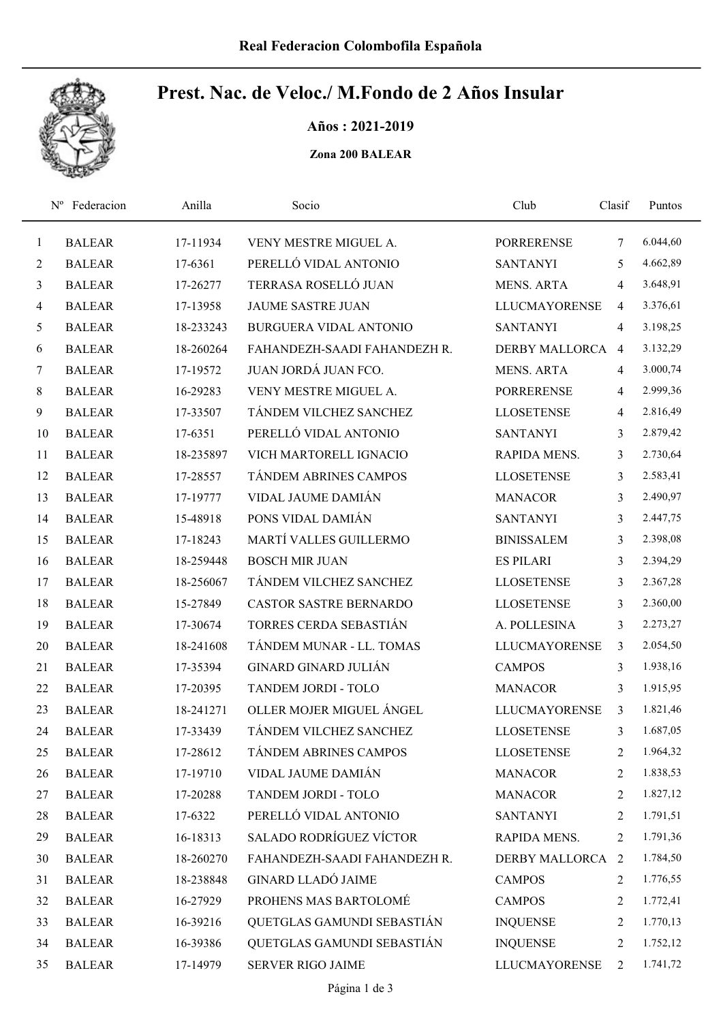## Prest. Nac. de Veloc./ M.Fondo de 2 Años Insular

Años : 2021-2019

Zona 200 BALEAR

| $N^{\rm o}$ | Federacion    | Anilla    | Socio                          | Club                 | Clasif         | Puntos   |
|-------------|---------------|-----------|--------------------------------|----------------------|----------------|----------|
| 1           | <b>BALEAR</b> | 17-11934  | VENY MESTRE MIGUEL A.          | <b>PORRERENSE</b>    | 7              | 6.044,60 |
| 2           | <b>BALEAR</b> | 17-6361   | PERELLÓ VIDAL ANTONIO          | <b>SANTANYI</b>      | 5              | 4.662,89 |
| 3           | <b>BALEAR</b> | 17-26277  | TERRASA ROSELLÓ JUAN           | <b>MENS. ARTA</b>    | 4              | 3.648,91 |
| 4           | <b>BALEAR</b> | 17-13958  | <b>JAUME SASTRE JUAN</b>       | <b>LLUCMAYORENSE</b> | 4              | 3.376,61 |
| 5           | <b>BALEAR</b> | 18-233243 | <b>BURGUERA VIDAL ANTONIO</b>  | <b>SANTANYI</b>      | $\overline{4}$ | 3.198,25 |
| 6           | <b>BALEAR</b> | 18-260264 | FAHANDEZH-SAADI FAHANDEZH R.   | DERBY MALLORCA       | $\overline{4}$ | 3.132,29 |
| 7           | <b>BALEAR</b> | 17-19572  | JUAN JORDÁ JUAN FCO.           | <b>MENS. ARTA</b>    | 4              | 3.000,74 |
| 8           | <b>BALEAR</b> | 16-29283  | VENY MESTRE MIGUEL A.          | <b>PORRERENSE</b>    | $\overline{4}$ | 2.999,36 |
| 9           | <b>BALEAR</b> | 17-33507  | TÁNDEM VILCHEZ SANCHEZ         | <b>LLOSETENSE</b>    | $\overline{4}$ | 2.816,49 |
| 10          | <b>BALEAR</b> | 17-6351   | PERELLÓ VIDAL ANTONIO          | <b>SANTANYI</b>      | 3              | 2.879,42 |
| 11          | <b>BALEAR</b> | 18-235897 | VICH MARTORELL IGNACIO         | RAPIDA MENS.         | 3              | 2.730,64 |
| 12          | <b>BALEAR</b> | 17-28557  | TÁNDEM ABRINES CAMPOS          | <b>LLOSETENSE</b>    | 3              | 2.583,41 |
| 13          | <b>BALEAR</b> | 17-19777  | VIDAL JAUME DAMIÁN             | <b>MANACOR</b>       | 3              | 2.490,97 |
| 14          | <b>BALEAR</b> | 15-48918  | PONS VIDAL DAMIÁN              | <b>SANTANYI</b>      | 3              | 2.447,75 |
| 15          | <b>BALEAR</b> | 17-18243  | MARTÍ VALLES GUILLERMO         | <b>BINISSALEM</b>    | 3              | 2.398,08 |
| 16          | <b>BALEAR</b> | 18-259448 | <b>BOSCH MIR JUAN</b>          | <b>ES PILARI</b>     | 3              | 2.394,29 |
| 17          | <b>BALEAR</b> | 18-256067 | TÁNDEM VILCHEZ SANCHEZ         | <b>LLOSETENSE</b>    | 3              | 2.367,28 |
| 18          | <b>BALEAR</b> | 15-27849  | CASTOR SASTRE BERNARDO         | <b>LLOSETENSE</b>    | 3              | 2.360,00 |
| 19          | <b>BALEAR</b> | 17-30674  | TORRES CERDA SEBASTIÁN         | A. POLLESINA         | 3              | 2.273,27 |
| 20          | <b>BALEAR</b> | 18-241608 | TÁNDEM MUNAR - LL. TOMAS       | <b>LLUCMAYORENSE</b> | 3              | 2.054,50 |
| 21          | <b>BALEAR</b> | 17-35394  | <b>GINARD GINARD JULIÁN</b>    | <b>CAMPOS</b>        | 3              | 1.938,16 |
| 22          | <b>BALEAR</b> | 17-20395  | TANDEM JORDI - TOLO            | <b>MANACOR</b>       | 3              | 1.915,95 |
| 23          | <b>BALEAR</b> | 18-241271 | OLLER MOJER MIGUEL ÁNGEL       | <b>LLUCMAYORENSE</b> | 3              | 1.821,46 |
| 24          | <b>BALEAR</b> | 17-33439  | TÁNDEM VILCHEZ SANCHEZ         | <b>LLOSETENSE</b>    | 3              | 1.687,05 |
| 25          | <b>BALEAR</b> | 17-28612  | TÁNDEM ABRINES CAMPOS          | <b>LLOSETENSE</b>    | 2              | 1.964,32 |
| 26          | <b>BALEAR</b> | 17-19710  | VIDAL JAUME DAMIÁN             | <b>MANACOR</b>       | 2              | 1.838,53 |
| 27          | <b>BALEAR</b> | 17-20288  | TANDEM JORDI - TOLO            | <b>MANACOR</b>       | 2              | 1.827,12 |
| 28          | <b>BALEAR</b> | 17-6322   | PERELLÓ VIDAL ANTONIO          | <b>SANTANYI</b>      | 2              | 1.791,51 |
| 29          | <b>BALEAR</b> | 16-18313  | <b>SALADO RODRÍGUEZ VÍCTOR</b> | RAPIDA MENS.         | 2              | 1.791,36 |
| 30          | <b>BALEAR</b> | 18-260270 | FAHANDEZH-SAADI FAHANDEZH R.   | DERBY MALLORCA 2     |                | 1.784,50 |
| 31          | <b>BALEAR</b> | 18-238848 | <b>GINARD LLADÓ JAIME</b>      | <b>CAMPOS</b>        | 2              | 1.776,55 |
| 32          | <b>BALEAR</b> | 16-27929  | PROHENS MAS BARTOLOMÉ          | <b>CAMPOS</b>        | 2              | 1.772,41 |
| 33          | <b>BALEAR</b> | 16-39216  | QUETGLAS GAMUNDI SEBASTIÁN     | <b>INQUENSE</b>      | 2              | 1.770,13 |
| 34          | <b>BALEAR</b> | 16-39386  | QUETGLAS GAMUNDI SEBASTIÁN     | <b>INQUENSE</b>      | 2              | 1.752,12 |
| 35          | <b>BALEAR</b> | 17-14979  | SERVER RIGO JAIME              | <b>LLUCMAYORENSE</b> | 2              | 1.741,72 |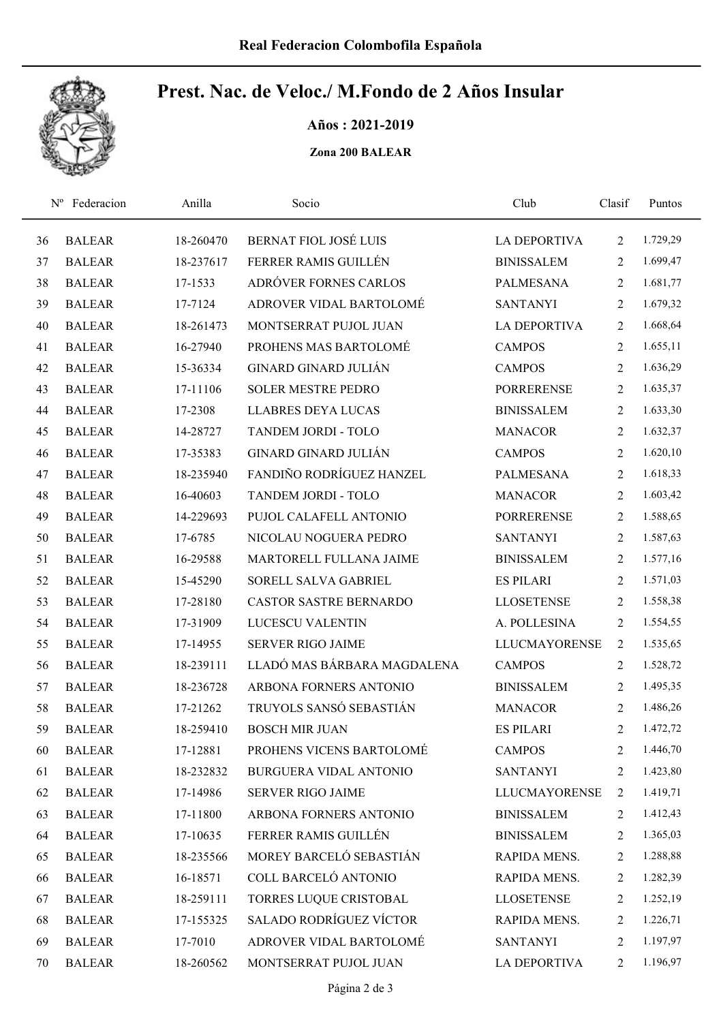## Prest. Nac. de Veloc./ M.Fondo de 2 Años Insular

Años : 2021-2019

Zona 200 BALEAR

| $N^{\rm o}$ | Federacion    | Anilla    | Socio                         | Club                 | Clasif         | Puntos   |
|-------------|---------------|-----------|-------------------------------|----------------------|----------------|----------|
| 36          | <b>BALEAR</b> | 18-260470 | BERNAT FIOL JOSÉ LUIS         | LA DEPORTIVA         | $\overline{2}$ | 1.729,29 |
| 37          | <b>BALEAR</b> | 18-237617 | FERRER RAMIS GUILLÉN          | <b>BINISSALEM</b>    | 2              | 1.699,47 |
| 38          | <b>BALEAR</b> | 17-1533   | ADRÓVER FORNES CARLOS         | <b>PALMESANA</b>     | $\overline{2}$ | 1.681,77 |
| 39          | <b>BALEAR</b> | 17-7124   | ADROVER VIDAL BARTOLOMÉ       | <b>SANTANYI</b>      | 2              | 1.679,32 |
| 40          | <b>BALEAR</b> | 18-261473 | MONTSERRAT PUJOL JUAN         | <b>LA DEPORTIVA</b>  | $\overline{2}$ | 1.668,64 |
| 41          | <b>BALEAR</b> | 16-27940  | PROHENS MAS BARTOLOMÉ         | <b>CAMPOS</b>        | $\overline{2}$ | 1.655,11 |
| 42          | <b>BALEAR</b> | 15-36334  | <b>GINARD GINARD JULIÁN</b>   | <b>CAMPOS</b>        | 2              | 1.636,29 |
| 43          | <b>BALEAR</b> | 17-11106  | <b>SOLER MESTRE PEDRO</b>     | <b>PORRERENSE</b>    | $\overline{2}$ | 1.635,37 |
| 44          | <b>BALEAR</b> | 17-2308   | <b>LLABRES DEYA LUCAS</b>     | <b>BINISSALEM</b>    | 2              | 1.633,30 |
| 45          | <b>BALEAR</b> | 14-28727  | TANDEM JORDI - TOLO           | <b>MANACOR</b>       | 2              | 1.632,37 |
| 46          | <b>BALEAR</b> | 17-35383  | <b>GINARD GINARD JULIÁN</b>   | <b>CAMPOS</b>        | 2              | 1.620,10 |
| 47          | <b>BALEAR</b> | 18-235940 | FANDIÑO RODRÍGUEZ HANZEL      | <b>PALMESANA</b>     | $\overline{2}$ | 1.618,33 |
| 48          | <b>BALEAR</b> | 16-40603  | <b>TANDEM JORDI - TOLO</b>    | <b>MANACOR</b>       | 2              | 1.603,42 |
| 49          | <b>BALEAR</b> | 14-229693 | PUJOL CALAFELL ANTONIO        | <b>PORRERENSE</b>    | $\overline{2}$ | 1.588,65 |
| 50          | <b>BALEAR</b> | 17-6785   | NICOLAU NOGUERA PEDRO         | <b>SANTANYI</b>      | $\overline{2}$ | 1.587,63 |
| 51          | <b>BALEAR</b> | 16-29588  | MARTORELL FULLANA JAIME       | <b>BINISSALEM</b>    | $\overline{2}$ | 1.577,16 |
| 52          | <b>BALEAR</b> | 15-45290  | SORELL SALVA GABRIEL          | <b>ES PILARI</b>     | $\overline{2}$ | 1.571,03 |
| 53          | <b>BALEAR</b> | 17-28180  | <b>CASTOR SASTRE BERNARDO</b> | <b>LLOSETENSE</b>    | $\overline{2}$ | 1.558,38 |
| 54          | <b>BALEAR</b> | 17-31909  | LUCESCU VALENTIN              | A. POLLESINA         | $\overline{2}$ | 1.554,55 |
| 55          | <b>BALEAR</b> | 17-14955  | <b>SERVER RIGO JAIME</b>      | <b>LLUCMAYORENSE</b> | $\overline{2}$ | 1.535,65 |
| 56          | <b>BALEAR</b> | 18-239111 | LLADÓ MAS BÁRBARA MAGDALENA   | <b>CAMPOS</b>        | 2              | 1.528,72 |
| 57          | <b>BALEAR</b> | 18-236728 | ARBONA FORNERS ANTONIO        | <b>BINISSALEM</b>    | 2              | 1.495,35 |
| 58          | <b>BALEAR</b> | 17-21262  | TRUYOLS SANSÓ SEBASTIÁN       | <b>MANACOR</b>       | 2              | 1.486,26 |
| 59          | <b>BALEAR</b> | 18-259410 | <b>BOSCH MIR JUAN</b>         | <b>ES PILARI</b>     | 2              | 1.472,72 |
| 60          | <b>BALEAR</b> | 17-12881  | PROHENS VICENS BARTOLOMÉ      | <b>CAMPOS</b>        | 2              | 1.446,70 |
| 61          | <b>BALEAR</b> | 18-232832 | <b>BURGUERA VIDAL ANTONIO</b> | <b>SANTANYI</b>      | 2              | 1.423,80 |
| 62          | <b>BALEAR</b> | 17-14986  | <b>SERVER RIGO JAIME</b>      | <b>LLUCMAYORENSE</b> | 2              | 1.419,71 |
| 63          | <b>BALEAR</b> | 17-11800  | ARBONA FORNERS ANTONIO        | <b>BINISSALEM</b>    | 2              | 1.412,43 |
| 64          | <b>BALEAR</b> | 17-10635  | FERRER RAMIS GUILLÉN          | <b>BINISSALEM</b>    | $\overline{2}$ | 1.365,03 |
| 65          | <b>BALEAR</b> | 18-235566 | MOREY BARCELÓ SEBASTIÁN       | RAPIDA MENS.         | 2              | 1.288,88 |
| 66          | <b>BALEAR</b> | 16-18571  | COLL BARCELÓ ANTONIO          | RAPIDA MENS.         | $\overline{c}$ | 1.282,39 |
| 67          | <b>BALEAR</b> | 18-259111 | TORRES LUQUE CRISTOBAL        | <b>LLOSETENSE</b>    | 2              | 1.252,19 |
| 68          | <b>BALEAR</b> | 17-155325 | SALADO RODRÍGUEZ VÍCTOR       | RAPIDA MENS.         | 2              | 1.226,71 |
| 69          | <b>BALEAR</b> | 17-7010   | ADROVER VIDAL BARTOLOMÉ       | <b>SANTANYI</b>      | 2              | 1.197,97 |
| 70          | <b>BALEAR</b> | 18-260562 | MONTSERRAT PUJOL JUAN         | LA DEPORTIVA         | 2              | 1.196,97 |